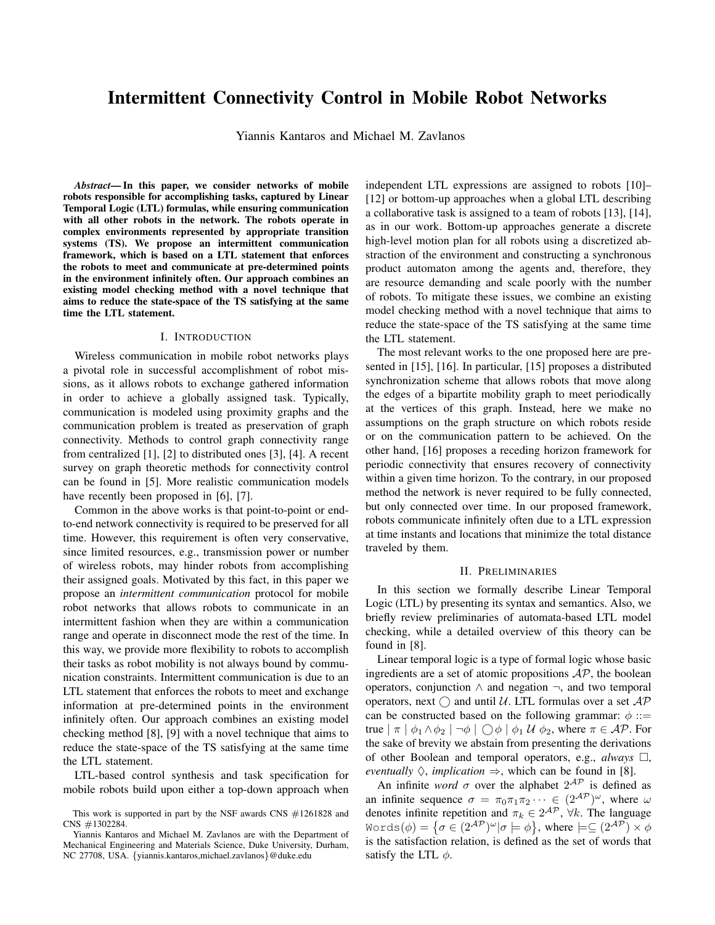# Intermittent Connectivity Control in Mobile Robot Networks

Yiannis Kantaros and Michael M. Zavlanos

*Abstract*— In this paper, we consider networks of mobile robots responsible for accomplishing tasks, captured by Linear Temporal Logic (LTL) formulas, while ensuring communication with all other robots in the network. The robots operate in complex environments represented by appropriate transition systems (TS). We propose an intermittent communication framework, which is based on a LTL statement that enforces the robots to meet and communicate at pre-determined points in the environment infinitely often. Our approach combines an existing model checking method with a novel technique that aims to reduce the state-space of the TS satisfying at the same time the LTL statement.

# I. INTRODUCTION

Wireless communication in mobile robot networks plays a pivotal role in successful accomplishment of robot missions, as it allows robots to exchange gathered information in order to achieve a globally assigned task. Typically, communication is modeled using proximity graphs and the communication problem is treated as preservation of graph connectivity. Methods to control graph connectivity range from centralized [1], [2] to distributed ones [3], [4]. A recent survey on graph theoretic methods for connectivity control can be found in [5]. More realistic communication models have recently been proposed in [6], [7].

Common in the above works is that point-to-point or endto-end network connectivity is required to be preserved for all time. However, this requirement is often very conservative, since limited resources, e.g., transmission power or number of wireless robots, may hinder robots from accomplishing their assigned goals. Motivated by this fact, in this paper we propose an *intermittent communication* protocol for mobile robot networks that allows robots to communicate in an intermittent fashion when they are within a communication range and operate in disconnect mode the rest of the time. In this way, we provide more flexibility to robots to accomplish their tasks as robot mobility is not always bound by communication constraints. Intermittent communication is due to an LTL statement that enforces the robots to meet and exchange information at pre-determined points in the environment infinitely often. Our approach combines an existing model checking method [8], [9] with a novel technique that aims to reduce the state-space of the TS satisfying at the same time the LTL statement.

LTL-based control synthesis and task specification for mobile robots build upon either a top-down approach when independent LTL expressions are assigned to robots [10]– [12] or bottom-up approaches when a global LTL describing a collaborative task is assigned to a team of robots [13], [14], as in our work. Bottom-up approaches generate a discrete high-level motion plan for all robots using a discretized abstraction of the environment and constructing a synchronous product automaton among the agents and, therefore, they are resource demanding and scale poorly with the number of robots. To mitigate these issues, we combine an existing model checking method with a novel technique that aims to reduce the state-space of the TS satisfying at the same time the LTL statement.

The most relevant works to the one proposed here are presented in [15], [16]. In particular, [15] proposes a distributed synchronization scheme that allows robots that move along the edges of a bipartite mobility graph to meet periodically at the vertices of this graph. Instead, here we make no assumptions on the graph structure on which robots reside or on the communication pattern to be achieved. On the other hand, [16] proposes a receding horizon framework for periodic connectivity that ensures recovery of connectivity within a given time horizon. To the contrary, in our proposed method the network is never required to be fully connected, but only connected over time. In our proposed framework, robots communicate infinitely often due to a LTL expression at time instants and locations that minimize the total distance traveled by them.

### II. PRELIMINARIES

In this section we formally describe Linear Temporal Logic (LTL) by presenting its syntax and semantics. Also, we briefly review preliminaries of automata-based LTL model checking, while a detailed overview of this theory can be found in [8].

Linear temporal logic is a type of formal logic whose basic ingredients are a set of atomic propositions  $AP$ , the boolean operators, conjunction ∧ and negation ¬, and two temporal operators, next  $\bigcap$  and until U. LTL formulas over a set  $AP$ can be constructed based on the following grammar:  $\phi$  ::= true  $|\pi | \phi_1 \wedge \phi_2 | \neg \phi | \bigcirc \phi | \phi_1 \mathcal{U} \phi_2$ , where  $\pi \in \mathcal{AP}$ . For the sake of brevity we abstain from presenting the derivations of other Boolean and temporal operators, e.g.,  $always \square$ , *eventually*  $\Diamond$ , *implication*  $\Rightarrow$ , which can be found in [8].

An infinite *word*  $\sigma$  over the alphabet  $2^{AP}$  is defined as an infinite sequence  $\sigma = \pi_0 \pi_1 \pi_2 \cdots \in (2^{\mathcal{AP}})^{\omega}$ , where  $\omega$ denotes infinite repetition and  $\pi_k \in 2^{\mathcal{AP}}$ ,  $\forall k$ . The language Words $(\phi) = \{ \sigma \in (2^\mathcal{AP})^\omega | \sigma \models \phi \}, \text{ where } \models \subseteq (2^\mathcal{AP}) \times \phi$ is the satisfaction relation, is defined as the set of words that satisfy the LTL  $\phi$ .

This work is supported in part by the NSF awards CNS #1261828 and CNS #1302284.

Yiannis Kantaros and Michael M. Zavlanos are with the Department of Mechanical Engineering and Materials Science, Duke University, Durham, NC 27708, USA. {yiannis.kantaros,michael.zavlanos}@duke.edu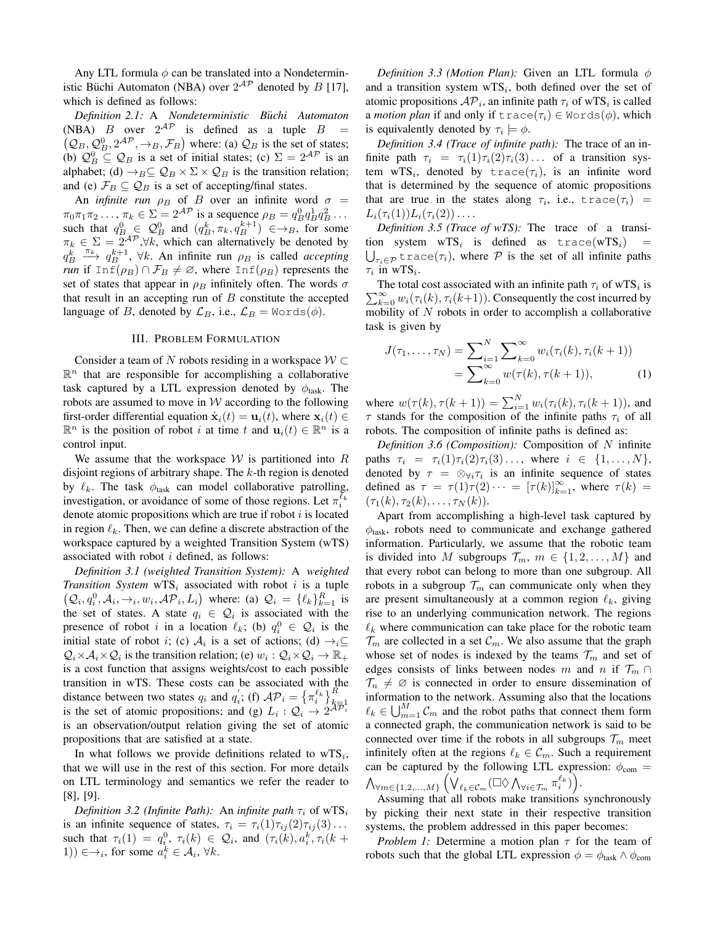Any LTL formula  $\phi$  can be translated into a Nondeterministic Büchi Automaton (NBA) over  $2^{AP}$  denoted by B [17], which is defined as follows:

*Definition 2.1:* A *Nondeterministic B*¨*uchi Automaton* (NBA) B over  $2^{AP}$  is defined as a tuple  $B =$  $(Q_B, Q_B^0, 2^{AP}, \rightarrow_B, \mathcal{F}_B)$  where: (a)  $Q_B$  is the set of states; (b)  $\mathcal{Q}_{B}^{0} \subseteq \mathcal{Q}_{B}$  is a set of initial states; (c)  $\Sigma = 2^{\mathcal{AP}}$  is an alphabet; (d)  $\rightarrow_B \subseteq \mathcal{Q}_B \times \Sigma \times \mathcal{Q}_B$  is the transition relation; and (e)  $\mathcal{F}_B \subseteq \mathcal{Q}_B$  is a set of accepting/final states.

An *infinite run*  $\rho_B$  of B over an infinite word  $\sigma$  =  $\pi_0 \pi_1 \pi_2 \dots, \pi_k \in \Sigma = 2^{\mathcal{AP}}$  is a sequence  $\rho_B = q_B^0 q_B^1 q_B^2 \dots$ such that  $q_B^0 \in \mathcal{Q}_B^0$  and  $(q_B^k, \pi_k, q_B^{k+1}) \in \rightarrow_B$ , for some  $\pi_k \in \Sigma = \overline{2}^{\mathcal{AP}}, \forall k$ , which can alternatively be denoted by  $q_B^k \xrightarrow{\pi_k} q_B^{k+1}$ ,  $\forall k$ . An infinite run  $\rho_B$  is called *accepting run* if  $Inf(\rho_B) \cap \mathcal{F}_B \neq \emptyset$ , where  $Inf(\rho_B)$  represents the set of states that appear in  $\rho_B$  infinitely often. The words  $\sigma$ that result in an accepting run of  $B$  constitute the accepted language of B, denoted by  $\mathcal{L}_B$ , i.e.,  $\mathcal{L}_B = \text{Words}(\phi)$ .

# III. PROBLEM FORMULATION

Consider a team of N robots residing in a workspace  $W \subset$  $\mathbb{R}^n$  that are responsible for accomplishing a collaborative task captured by a LTL expression denoted by  $\phi_{\text{task}}$ . The robots are assumed to move in  $W$  according to the following first-order differential equation  $\dot{\mathbf{x}}_i(t) = \mathbf{u}_i(t)$ , where  $\mathbf{x}_i(t) \in$  $\mathbb{R}^n$  is the position of robot *i* at time *t* and  $\mathbf{u}_i(t) \in \mathbb{R}^n$  is a control input.

We assume that the workspace  $W$  is partitioned into R disjoint regions of arbitrary shape. The  $k$ -th region is denoted by  $\ell_k$ . The task  $\phi_{\text{task}}$  can model collaborative patrolling, investigation, or avoidance of some of those regions. Let  $\pi_i^{\bar{\ell}_k}$ denote atomic propositions which are true if robot  $i$  is located in region  $\ell_k$ . Then, we can define a discrete abstraction of the workspace captured by a weighted Transition System (wTS) associated with robot  $i$  defined, as follows:

*Definition 3.1 (weighted Transition System):* A *weighted Transition System*  $wTS_i$  associated with robot i is a tuple  $(Q_i, q_i^0, A_i, \rightarrow_i, w_i, \mathcal{AP}_i, L_i)$  where: (a)  $Q_i = \{\ell_k\}_{k=1}^R$  is the set of states. A state  $q_i \in \mathcal{Q}_i$  is associated with the presence of robot i in a location  $\ell_k$ ; (b)  $q_i^0 \in Q_i$  is the initial state of robot *i*; (c)  $A_i$  is a set of actions; (d)  $\rightarrow_i \subseteq$  $Q_i \times A_i \times Q_i$  is the transition relation; (e)  $w_i : Q_i \times Q_i \to \mathbb{R}_+$ is a cost function that assigns weights/cost to each possible transition in wTS. These costs can be associated with the distance between two states  $q_i$  and  $q'_i$ ; (f)  $\mathcal{AP}_i = \{\pi_i^{\ell_k}\}_{k=1}^R$ is the set of atomic propositions; and (g)  $L_i$  :  $Q_i \rightarrow 2^{\mathcal{AP}_i}$ is an observation/output relation giving the set of atomic propositions that are satisfied at a state.

In what follows we provide definitions related to  $wTS_i$ , that we will use in the rest of this section. For more details on LTL terminology and semantics we refer the reader to [8], [9].

*Definition 3.2 (Infinite Path):* An *infinite path*  $\tau_i$  of wTS<sub>i</sub> is an infinite sequence of states,  $\tau_i = \tau_i(1)\tau_{ij}(2)\tau_{ij}(3) \ldots$ such that  $\tau_i(1) = q_i^0$ ,  $\tau_i(k) \in \mathcal{Q}_i$ , and  $(\tau_i(k), a_i^k, \tau_i(k +$ 1))  $\in \rightarrow_i$ , for some  $a_i^k \in \mathcal{A}_i$ ,  $\forall k$ .

*Definition 3.3 (Motion Plan):* Given an LTL formula  $\phi$ and a transition system  $wTS_i$ , both defined over the set of atomic propositions  $AP_i$ , an infinite path  $\tau_i$  of wTS<sub>i</sub> is called a *motion plan* if and only if  $trace(\tau_i) \in Words(\phi)$ , which is equivalently denoted by  $\tau_i \models \phi$ .

*Definition 3.4 (Trace of infinite path):* The trace of an infinite path  $\tau_i = \tau_i(1)\tau_i(2)\tau_i(3) \ldots$  of a transition system wTS<sub>i</sub>, denoted by trace( $\tau_i$ ), is an infinite word that is determined by the sequence of atomic propositions that are true in the states along  $\tau_i$ , i.e.,  $trace(\tau_i)$  =  $L_i(\tau_i(1))L_i(\tau_i(2))\ldots$ 

*Definition 3.5 (Trace of wTS):* The trace of a transition system wTS<sub>i</sub> is defined as  $trace(wTS_i)$  =  $\bigcup_{\tau_i\in\mathcal{P}}\texttt{trace}(\tau_i),$  where  $\mathcal P$  is the set of all infinite paths  $\tau_i$  in wTS<sub>i</sub>.

The total cost associated with an infinite path  $\tau_i$  of wTS<sub>i</sub> is  $\sum_{k=0}^{\infty} w_i(\tau_i(k), \tau_i(k+1))$ . Consequently the cost incurred by mobility of  $N$  robots in order to accomplish a collaborative task is given by

$$
J(\tau_1, ..., \tau_N) = \sum_{i=1}^N \sum_{k=0}^\infty w_i(\tau_i(k), \tau_i(k+1))
$$
  
= 
$$
\sum_{k=0}^\infty w(\tau(k), \tau(k+1)),
$$
 (1)

where  $w(\tau(k), \tau(k+1)) = \sum_{i=1}^{N} w_i(\tau_i(k), \tau_i(k+1))$ , and  $\tau$  stands for the composition of the infinite paths  $\tau_i$  of all robots. The composition of infinite paths is defined as:

*Definition 3.6 (Composition):* Composition of N infinite paths  $\tau_i = \tau_i(1)\tau_i(2)\tau_i(3) \ldots$ , where  $i \in \{1, \ldots, N\},$ denoted by  $\tau = \otimes_{\forall i} \tau_i$  is an infinite sequence of states defined as  $\tau = \tau(1)\tau(2) \cdots = [\tau(k)]_{k=1}^{\infty}$ , where  $\tau(k) =$  $(\tau_1(k), \tau_2(k), \ldots, \tau_N(k)).$ 

Apart from accomplishing a high-level task captured by  $\phi_{\text{task}}$ , robots need to communicate and exchange gathered information. Particularly, we assume that the robotic team is divided into M subgroups  $\mathcal{T}_m$ ,  $m \in \{1, 2, \ldots, M\}$  and that every robot can belong to more than one subgroup. All robots in a subgroup  $\mathcal{T}_m$  can communicate only when they are present simultaneously at a common region  $\ell_k$ , giving rise to an underlying communication network. The regions  $\ell_k$  where communication can take place for the robotic team  $\mathcal{T}_m$  are collected in a set  $\mathcal{C}_m$ . We also assume that the graph whose set of nodes is indexed by the teams  $\mathcal{T}_m$  and set of edges consists of links between nodes m and n if  $\mathcal{T}_m \cap$  $\mathcal{T}_n \neq \emptyset$  is connected in order to ensure dissemination of information to the network. Assuming also that the locations  $\ell_k \in \bigcup_{m=1}^M C_m$  and the robot paths that connect them form a connected graph, the communication network is said to be connected over time if the robots in all subgroups  $\mathcal{T}_m$  meet infinitely often at the regions  $\ell_k \in \mathcal{C}_m$ . Such a requirement can be captured by the following LTL expression:  $\phi_{com}$  =  $\bigwedge_{\forall m \in \{1,2,...,M\}} \Big(\bigvee_{\ell_k \in {\mathcal C}_m} (\Box \Diamond \bigwedge_{\forall i \in \mathcal{T}_m} \pi_i^{\ell_k}) \Big).$ 

Assuming that all robots make transitions synchronously by picking their next state in their respective transition systems, the problem addressed in this paper becomes:

*Problem 1:* Determine a motion plan  $\tau$  for the team of robots such that the global LTL expression  $\phi = \phi_{\text{task}} \land \phi_{\text{com}}$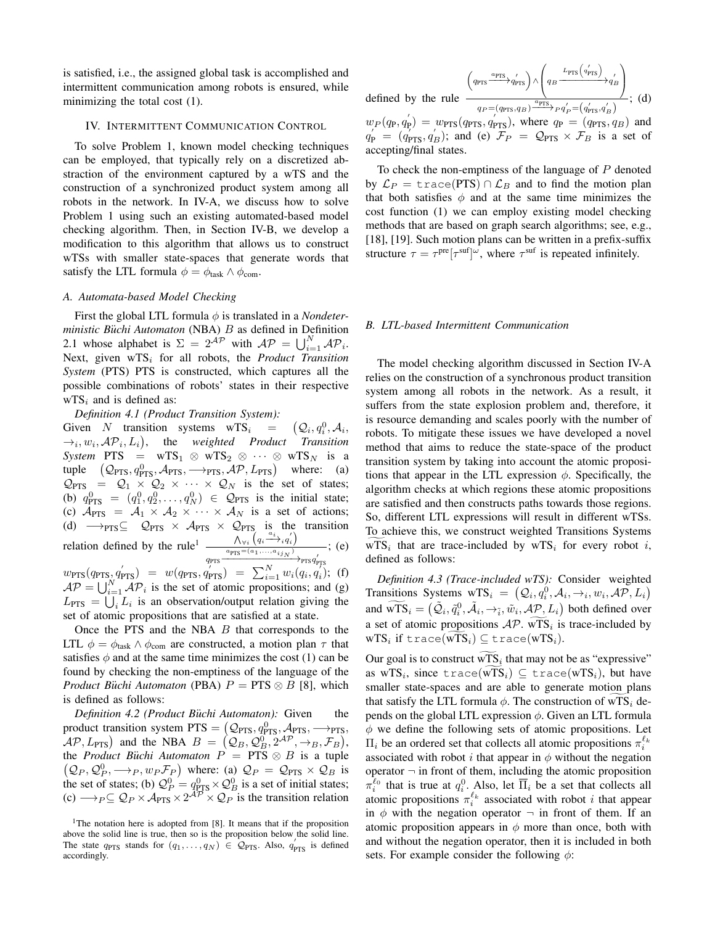is satisfied, i.e., the assigned global task is accomplished and intermittent communication among robots is ensured, while minimizing the total cost (1).

#### IV. INTERMITTENT COMMUNICATION CONTROL

To solve Problem 1, known model checking techniques can be employed, that typically rely on a discretized abstraction of the environment captured by a wTS and the construction of a synchronized product system among all robots in the network. In IV-A, we discuss how to solve Problem 1 using such an existing automated-based model checking algorithm. Then, in Section IV-B, we develop a modification to this algorithm that allows us to construct wTSs with smaller state-spaces that generate words that satisfy the LTL formula  $\phi = \phi_{\text{task}} \wedge \phi_{\text{com}}$ .

# *A. Automata-based Model Checking*

First the global LTL formula  $\phi$  is translated in a *Nondeterministic Büchi Automaton* (NBA) *B* as defined in Definition 2.1 whose alphabet is  $\Sigma = 2^{\mathcal{AP}}$  with  $\mathcal{AP} = \bigcup_{i=1}^{N} \mathcal{AP}_i$ . Next, given wTS<sub>i</sub> for all robots, the *Product Transition System* (PTS) PTS is constructed, which captures all the possible combinations of robots' states in their respective  $WTS_i$  and is defined as:

# *Definition 4.1 (Product Transition System):*

Given N transition systems  $wTS_i$  =  $\left( \mathcal{Q}_i, q_i^0, \mathcal{A}_i, \right)$  $\rightarrow_i, w_i, \mathcal{AP}_i, L_i$ , the *weighted Product Transition System* PTS =  $wTS_1 \otimes wTS_2 \otimes \cdots \otimes wTS_N$  is a tuple  $(Q_{\text{PTS}}, q_{\text{PTS}}^0, \mathcal{A}_{\text{PTS}}, \longrightarrow_{\text{PTS}}, \mathcal{AP}, L_{\text{PTS}})$  where: (a)  $\mathcal{Q}_{PTS} = \mathcal{Q}_1 \times \mathcal{Q}_2 \times \cdots \times \mathcal{Q}_N$  is the set of states; (b)  $q_{\text{PTS}}^0 = (q_1^0, q_2^0, \dots, q_N^0) \in \mathcal{Q}_{\text{PTS}}$  is the initial state; (c)  $\mathcal{A}_{PTS} = \mathcal{A}_1 \times \mathcal{A}_2 \times \cdots \times \mathcal{A}_N$  is a set of actions; (d)  $\rightarrow$ PTS⊆  $\mathcal{Q}_{PTS} \times \mathcal{A}_{PTS} \times \mathcal{Q}_{PTS}$  is the transition relation defined by the rule<sup>1</sup>  $\frac{\Lambda_{\forall i} (q_i \stackrel{a_i}{\longrightarrow} q'_i)}{\Delta_{\text{comp}} (q_i \stackrel{a_{i+1}}{\longrightarrow} q'_i)}$  $q_{\text{PTS}} \xrightarrow{a_{\text{PTS}} = (a_1, \ldots, a_{ij_N})} \text{PTS} q'_{\text{PTS}}$ ; (e)  $w_{\text{PTS}}(q_{\text{PTS}}, q_{\text{PTS}}) = w(q_{\text{PTS}}, q_{\text{PTS}}) = \sum_{i=1}^{N} w_i(q_i, q_i)$ ; (f)  $AP = \bigcup_{i=1}^{N} AP_i$  is the set of atomic propositions; and (g)  $L_{\text{PTS}} = \bigcup_i L_i$  is an observation/output relation giving the set of atomic propositions that are satisfied at a state.

Once the PTS and the NBA  $B$  that corresponds to the LTL  $\phi = \phi_{\text{task}} \land \phi_{\text{com}}$  are constructed, a motion plan  $\tau$  that satisfies  $\phi$  and at the same time minimizes the cost (1) can be found by checking the non-emptiness of the language of the *Product Büchi Automaton* (PBA)  $P = PTS \otimes B$  [8], which is defined as follows:

*Definition 4.2 (Product Büchi Automaton):* Given the product transition system  $PTS = (Q_{PTS}, q_{PTS}^0, A_{PTS}, \rightarrow_{PTS},$  $\mathcal{AP}, L_{\text{PTS}}$ ) and the NBA  $B = (Q_B, Q_B^0, 2^{\mathcal{AP}}, \rightarrow_B, \mathcal{F}_B)$ , the *Product Büchi Automaton*  $P = PTS \otimes B$  is a tuple  $(Q_P, Q_P^0, \longrightarrow_P, w_P \mathcal{F}_P)$  where: (a)  $Q_P = Q_{PTS} \times Q_B$  is the set of states; (b)  $\mathcal{Q}_P^0 = q_{\text{PTS}}^0 \times \mathcal{Q}_B^0$  is a set of initial states;  $\varphi(c) \longrightarrow_{P} \subseteq Q_P \times A_{\text{PTS}} \times 2^{AP} \times Q_P$  is the transition relation

$$
\left[ \left( q_{\text{PTS}} \xrightarrow{a_{\text{PTS}}} q'_{\text{PTS}} \right) \wedge \left( q_B \xrightarrow{L_{\text{PTS}} \left( q'_{\text{PTS}} \right)} q'_B \right) \right]
$$
\n
$$
\left[ \left( q_{\text{P}} \xrightarrow{a_{\text{PTS}}} q'_B \right) \xrightarrow{a_{\text{PTS}}} \left( q'_B \xrightarrow{a_{\text{PTS}}} q'_B \right) \right] \times \left( d \right)
$$

defined by the ru

 $\overline{a}$ 

$$
w_P(q_P, q'_P) = w_{\text{PTS}}(q_{\text{PTS}}, q'_{\text{PTS}})
$$
, where  $q_P = (q_{\text{PTS}}, q_B)$  and  $q'_P = (q'_{\text{PTS}}, q'_B)$ ; and (e)  $\mathcal{F}_P = \mathcal{Q}_{\text{PTS}} \times \mathcal{F}_B$  is a set of  
accepting/final states.

To check the non-emptiness of the language of P denoted by  $\mathcal{L}_P = \text{trace(PTS)} \cap \mathcal{L}_B$  and to find the motion plan that both satisfies  $\phi$  and at the same time minimizes the cost function (1) we can employ existing model checking methods that are based on graph search algorithms; see, e.g., [18], [19]. Such motion plans can be written in a prefix-suffix structure  $\tau = \tau^{\text{pre}}[\tau^{\text{suf}}]^{\omega}$ , where  $\tau^{\text{suf}}$  is repeated infinitely.

### *B. LTL-based Intermittent Communication*

The model checking algorithm discussed in Section IV-A relies on the construction of a synchronous product transition system among all robots in the network. As a result, it suffers from the state explosion problem and, therefore, it is resource demanding and scales poorly with the number of robots. To mitigate these issues we have developed a novel method that aims to reduce the state-space of the product transition system by taking into account the atomic propositions that appear in the LTL expression  $\phi$ . Specifically, the algorithm checks at which regions these atomic propositions are satisfied and then constructs paths towards those regions. So, different LTL expressions will result in different wTSs. To achieve this, we construct weighted Transitions Systems  $WTS_i$  that are trace-included by  $WTS_i$  for every robot i, defined as follows:

*Definition 4.3 (Trace-included wTS):* Consider weighted Transitions Systems  $wTS_i = (Q_i, q_i^0, A_i, \rightarrow_i, w_i, \mathcal{AP}, L_i)$ and  $\widetilde{\mathrm{wTS}}_i = (\tilde{\mathcal{Q}}_i, \tilde{q}_i^0, \tilde{\mathcal{A}}_i, \rightarrow_{\tilde{i}}, \tilde{w}_i, \mathcal{AP}, L_i)$  both defined over a set of atomic propositions  $AP$ . wTS<sub>i</sub> is trace-included by  $\mathrm{wTS}_i$  if trace( $\mathrm{wTS}_i$ ) $\subseteq$  trace( $\mathrm{wTS}_i$ ).

Our goal is to construct wTS<sub>i</sub> that may not be as "expressive" as wTS<sub>i</sub>, since trace(wTS<sub>i</sub>)  $\subseteq$  trace(wTS<sub>i</sub>), but have smaller state-spaces and are able to generate motion plans that satisfy the LTL formula  $\phi$ . The construction of wTS<sub>i</sub> depends on the global LTL expression  $\phi$ . Given an LTL formula  $\phi$  we define the following sets of atomic propositions. Let  $\Pi_i$  be an ordered set that collects all atomic propositions  $\pi_i^{\ell_k}$ associated with robot i that appear in  $\phi$  without the negation operator  $\neg$  in front of them, including the atomic proposition  $\pi_i^{\ell_0}$  that is true at  $q_i^0$ . Also, let  $\overline{\Pi}_i$  be a set that collects all atomic propositions  $\pi_i^{\ell_k}$  associated with robot *i* that appear in  $\phi$  with the negation operator  $\neg$  in front of them. If an atomic proposition appears in  $\phi$  more than once, both with and without the negation operator, then it is included in both sets. For example consider the following  $\phi$ :

<sup>&</sup>lt;sup>1</sup>The notation here is adopted from [8]. It means that if the proposition above the solid line is true, then so is the proposition below the solid line. The state  $q_{\text{PTS}}$  stands for  $(q_1, \ldots, q_N) \in Q_{\text{PTS}}$ . Also,  $q'_{\text{PTS}}$  is defined accordingly.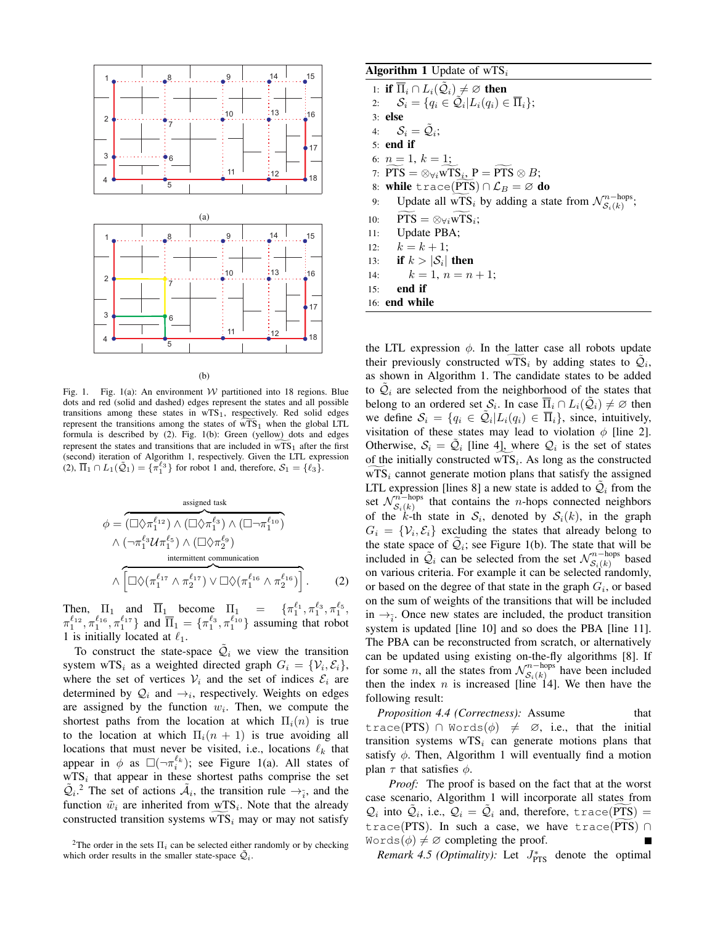

(b)

Fig. 1. Fig. 1(a): An environment W partitioned into 18 regions. Blue dots and red (solid and dashed) edges represent the states and all possible transitions among these states in  $wTS_1$ , respectively. Red solid edges represent the transitions among the states of  $WTS<sub>1</sub>$  when the global LTL formula is described by (2). Fig. 1(b): Green (yellow) dots and edges represent the states and transitions that are included in  $wTS_1$  after the first (second) iteration of Algorithm 1, respectively. Given the LTL expression (2),  $\overline{\Pi}_1 \cap L_1(\tilde{Q}_1) = {\pi_1^{\ell_3}}$  for robot 1 and, therefore,  $S_1 = {\ell_3}$ .

\n
$$
\phi = \overbrace{(\Box \Diamond \pi_1^{\ell_{12}}) \land (\Box \Diamond \pi_1^{\ell_3}) \land (\Box \neg \pi_1^{\ell_{10}})}^{\text{assigned task}}
$$
\n
$$
\land (\neg \pi_1^{\ell_3} \mathcal{U} \pi_1^{\ell_5}) \land (\Box \Diamond \pi_2^{\ell_9})^{\text{intermitent combination}}
$$
\n
$$
\land \overbrace{[\Box \Diamond (\pi_1^{\ell_{17}} \land \pi_2^{\ell_{17}}) \lor \Box \Diamond (\pi_1^{\ell_{16}} \land \pi_2^{\ell_{16}})]}^{\text{intermitent combination}}.
$$
\n
$$
(2)
$$
\n

Then,  $\Pi_1$  and  $\overline{\Pi}_1$  become  $\Pi_1$  =  $\{\pi_1^{\ell_1}, \pi_1^{\ell_3}, \pi_1^{\ell_5}, \pi_1^{\ell_6}\}$  $\pi_1^{\ell_{12}}, \pi_1^{\ell_{16}}, \pi_1^{\ell_{17}}\}$  and  $\overline{\Pi}_1 = \{\pi_1^{\ell_3}, \pi_1^{\ell_{10}}\}$  assuming that robot 1 is initially located at  $\ell_1$ .

To construct the state-space  $\tilde{Q}_i$  we view the transition system wTS<sub>i</sub> as a weighted directed graph  $G_i = \{V_i, \mathcal{E}_i\},\$ where the set of vertices  $V_i$  and the set of indices  $\mathcal{E}_i$  are determined by  $\mathcal{Q}_i$  and  $\rightarrow_i$ , respectively. Weights on edges are assigned by the function  $w_i$ . Then, we compute the shortest paths from the location at which  $\Pi_i(n)$  is true to the location at which  $\Pi_i(n + 1)$  is true avoiding all locations that must never be visited, i.e., locations  $\ell_k$  that appear in  $\phi$  as  $\square(\neg \pi_i^{\ell_k})$ ; see Figure 1(a). All states of  $WTS_i$  that appear in these shortest paths comprise the set  $\tilde{Q}_i$ <sup>2</sup>. The set of actions  $\tilde{A}_i$ , the transition rule  $\rightarrow_{\tilde{i}}$ , and the function  $\tilde{w}_i$  are inherited from  $\tilde{w}_i$ . Note that the already constructed transition systems  $WTS_i$  may or may not satisfy

### Algorithm 1 Update of  $wTS_i$

1: if  $\overline{\Pi}_i \cap L_i(\tilde{\mathcal{Q}}_i) \neq \varnothing$  then 2:  $\mathcal{S}_i = \{q_i \in \tilde{\mathcal{Q}}_i | L_i(q_i) \in \overline{\Pi}_i\};$ 3: else 4:  $S_i = \tilde{Q}_i;$ 5: end if 6:  $n = 1, k = 1;$ 7:  $PTS = \otimes_{\forall i} wTS_i, P = PTS \otimes B;$ 8: while trace(PTS) ∩  $\mathcal{L}_B = \emptyset$  do<br>9: Update all wTS<sub>i</sub> by adding a sta 9: Update all  $\widetilde{wTS_i}$  by adding a state from  $\mathcal{N}_{\mathcal{S}_i(k)}^{n-\text{hops}}$  $s_i(k)$ 10:  $PTS = \otimes_{\forall i} wTS_i;$ 11: Update PBA; 12:  $k = k + 1$ ; 13: if  $k > |\mathcal{S}_i|$  then 14:  $k = 1, n = n + 1;$ 15: end if

16: end while

the LTL expression  $\phi$ . In the latter case all robots update their previously constructed  $\widetilde{wTS}_i$  by adding states to  $\widetilde{Q}_i$ , as shown in Algorithm 1. The candidate states to be added to  $\tilde{Q}_i$  are selected from the neighborhood of the states that belong to an ordered set  $\mathcal{S}_i$ . In case  $\overline{\Pi}_i \cap L_i(\tilde{\mathcal{Q}}_i) \neq \emptyset$  then we define  $S_i = \{q_i \in \tilde{Q}_i | L_i(q_i) \in \overline{\Pi}_i\}$ , since, intuitively, visitation of these states may lead to violation  $\phi$  [line 2]. Otherwise,  $S_i = \tilde{Q}_i$  [line 4], where  $Q_i$  is the set of states of the initially constructed wTS<sub>i</sub>. As long as the constructed  $WTS_i$  cannot generate motion plans that satisfy the assigned LTL expression [lines 8] a new state is added to  $\tilde{Q}_i$  from the set  $\mathcal{N}^{\hat{n}-\text{hops}}_{\mathcal{S}\cdot(k)}$  $\sum_{s_i(k)}^{n-\text{hops}}$  that contains the *n*-hops connected neighbors of the k-th state in  $S_i$ , denoted by  $S_i(k)$ , in the graph  $G_i = \{V_i, \mathcal{E}_i\}$  excluding the states that already belong to the state space of  $Q_i$ ; see Figure 1(b). The state that will be included in  $\tilde{Q}_i$  can be selected from the set  $\mathcal{N}_{S_i(k)}^{n-\text{hops}}$  $\mathcal{S}_i(k)$  based on various criteria. For example it can be selected randomly, or based on the degree of that state in the graph  $G_i$ , or based on the sum of weights of the transitions that will be included in  $\rightarrow_{\tilde{i}}$ . Once new states are included, the product transition system is updated [line 10] and so does the PBA [line 11]. The PBA can be reconstructed from scratch, or alternatively can be updated using existing on-the-fly algorithms [8]. If for some n, all the states from  $\mathcal{N}_{S(k)}^{n-\text{hops}}$  $s_i(k)$  have been included then the index  $n$  is increased [line 14]. We then have the following result:

*Proposition 4.4 (Correctness):* Assume that trace(PTS) ∩ Words( $\phi$ )  $\neq$  ∅, i.e., that the initial transition systems  $WTS_i$  can generate motions plans that satisfy  $\phi$ . Then, Algorithm 1 will eventually find a motion plan  $\tau$  that satisfies  $\phi$ .

*Proof:* The proof is based on the fact that at the worst case scenario, Algorithm 1 will incorporate all states from  $Q_i$  into  $\tilde{Q}_i$ , i.e.,  $Q_i = \tilde{Q}_i$  and, therefore, trace( $\widetilde{PTS}$ ) = trace(PTS). In such a case, we have trace(PTS)  $\cap$  $Words(\phi) \neq \emptyset$  completing the proof.

*Remark 4.5 (Optimality):* Let  $J_{\text{PTS}}^*$  denote the optimal

<sup>&</sup>lt;sup>2</sup>The order in the sets  $\Pi_i$  can be selected either randomly or by checking which order results in the smaller state-space  $\tilde{Q}_i$ .